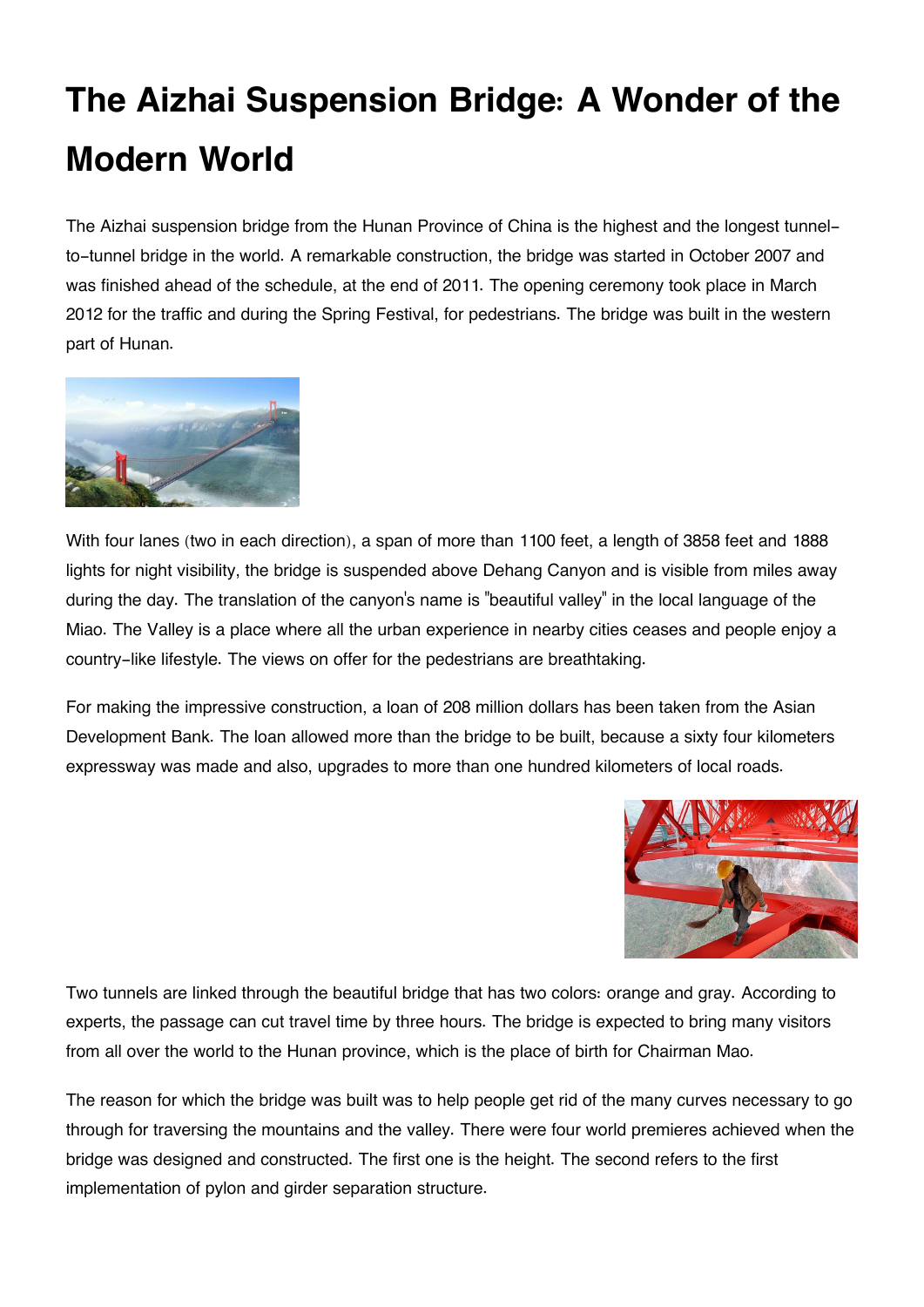## **The Aizhai Suspension Bridge: A Wonder of the Modern World**

The Aizhai suspension bridge from the Hunan Province of China is the highest and the longest tunnelto-tunnel bridge in the world. A remarkable construction, the bridge was started in October 2007 and was finished ahead of the schedule, at the end of 2011. The opening ceremony took place in March 2012 for the traffic and during the Spring Festival, for pedestrians. The bridge was built in the western part of Hunan.



With four lanes (two in each direction), a span of more than 1100 feet, a length of 3858 feet and 1888 lights for night visibility, the bridge is suspended above Dehang Canyon and is visible from miles away during the day. The translation of the canyon's name is "beautiful valley" in the local language of the Miao. The Valley is a place where all the urban experience in nearby cities ceases and people enjoy a country-like lifestyle. The views on offer for the pedestrians are breathtaking.

For making the impressive construction, a loan of 208 million dollars has been taken from the Asian Development Bank. The loan allowed more than the bridge to be built, because a sixty four kilometers expressway was made and also, upgrades to more than one hundred kilometers of local roads.



Two tunnels are linked through the beautiful bridge that has two colors: orange and gray. According to experts, the passage can cut travel time by three hours. The bridge is expected to bring many visitors from all over the world to the Hunan province, which is the place of birth for Chairman Mao.

The reason for which the bridge was built was to help people get rid of the many curves necessary to go through for traversing the mountains and the valley. There were four world premieres achieved when the bridge was designed and constructed. The first one is the height. The second refers to the first implementation of pylon and girder separation structure.